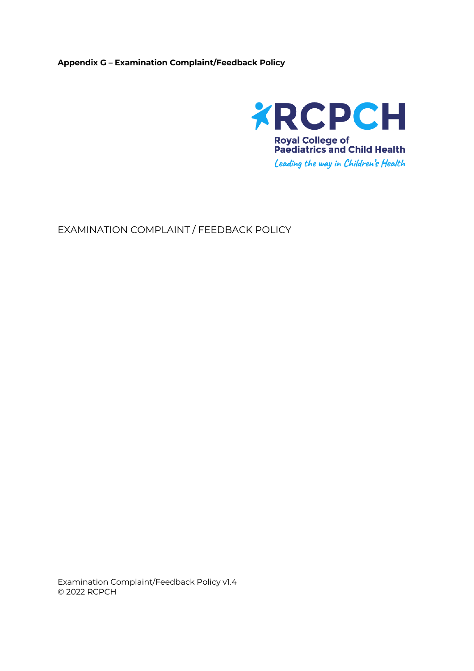## **Appendix G – Examination Complaint/Feedback Policy**



EXAMINATION COMPLAINT / FEEDBACK POLICY

Examination Complaint/Feedback Policy v1.4 © 2022 RCPCH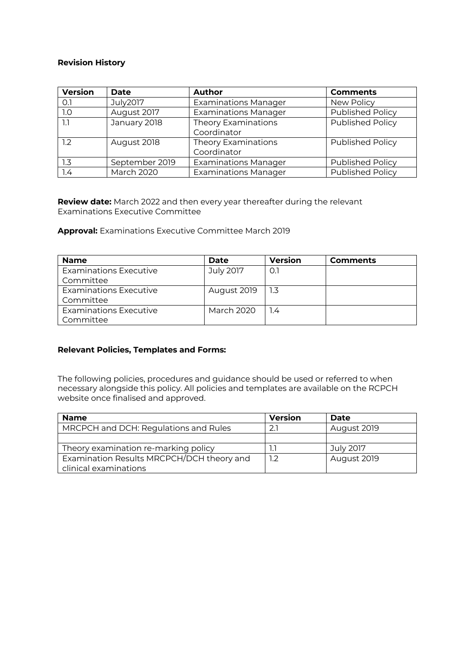## **Revision History**

| <b>Version</b>   | Date              | Author                                    | <b>Comments</b>         |
|------------------|-------------------|-------------------------------------------|-------------------------|
| O.1              | July2017          | <b>Examinations Manager</b>               | New Policy              |
| 1.0              | August 2017       | <b>Examinations Manager</b>               | Published Policy        |
| 1.1              | January 2018      | Theory Examinations<br>Coordinator        | <b>Published Policy</b> |
| 1.2              | August 2018       | <b>Theory Examinations</b><br>Coordinator | <b>Published Policy</b> |
| $1.3\phantom{0}$ | September 2019    | <b>Examinations Manager</b>               | <b>Published Policy</b> |
| 1.4              | <b>March 2020</b> | <b>Examinations Manager</b>               | Published Policy        |

**Review date:** March 2022 and then every year thereafter during the relevant Examinations Executive Committee

**Approval:** Examinations Executive Committee March 2019

| <b>Name</b>                   | Date        | <b>Version</b> | <b>Comments</b> |
|-------------------------------|-------------|----------------|-----------------|
| <b>Examinations Executive</b> | July 2017   | 0.1            |                 |
| Committee                     |             |                |                 |
| <b>Examinations Executive</b> | August 2019 | 1.3            |                 |
| Committee                     |             |                |                 |
| <b>Examinations Executive</b> | March 2020  | 1.4            |                 |
| Committee                     |             |                |                 |

## **Relevant Policies, Templates and Forms:**

The following policies, procedures and guidance should be used or referred to when necessary alongside this policy. All policies and templates are available on the RCPCH website once finalised and approved.

| <b>Name</b>                               | <b>Version</b> | Date        |
|-------------------------------------------|----------------|-------------|
| MRCPCH and DCH: Regulations and Rules     | 2.7            | August 2019 |
|                                           |                |             |
| Theory examination re-marking policy      |                | July 2017   |
| Examination Results MRCPCH/DCH theory and | 1.2            | August 2019 |
| clinical examinations                     |                |             |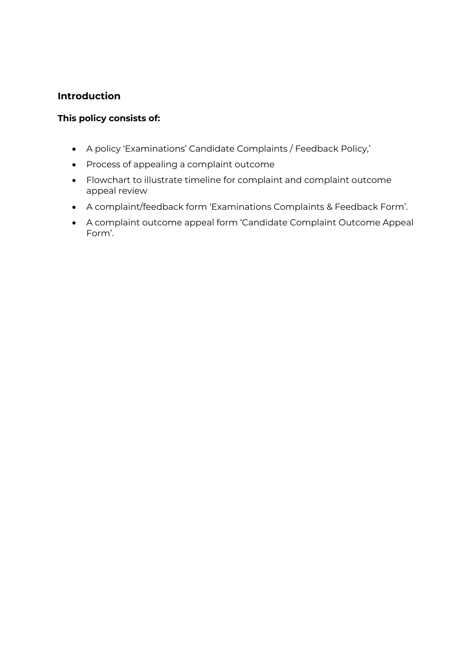## **Introduction**

## **This policy consists of:**

- A policy 'Examinations' Candidate Complaints / Feedback Policy,'
- Process of appealing a complaint outcome
- Flowchart to illustrate timeline for complaint and complaint outcome appeal review
- A complaint/feedback form 'Examinations Complaints & Feedback Form'.
- A complaint outcome appeal form 'Candidate Complaint Outcome Appeal Form'.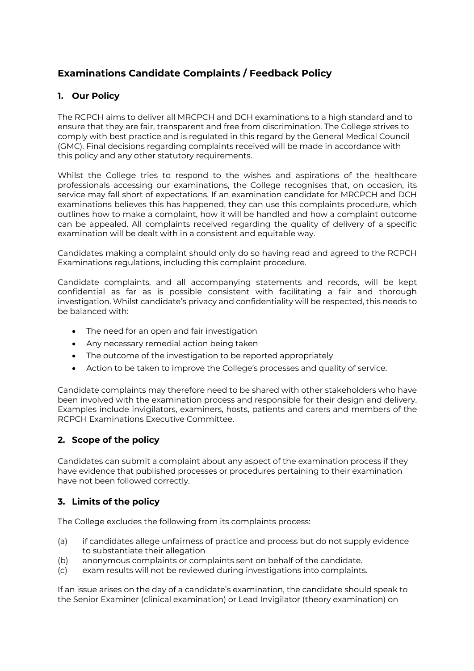## **Examinations Candidate Complaints / Feedback Policy**

## **1. Our Policy**

The RCPCH aims to deliver all MRCPCH and DCH examinations to a high standard and to ensure that they are fair, transparent and free from discrimination. The College strives to comply with best practice and is regulated in this regard by the General Medical Council (GMC). Final decisions regarding complaints received will be made in accordance with this policy and any other statutory requirements.

Whilst the College tries to respond to the wishes and aspirations of the healthcare professionals accessing our examinations, the College recognises that, on occasion, its service may fall short of expectations. If an examination candidate for MRCPCH and DCH examinations believes this has happened, they can use this complaints procedure, which outlines how to make a complaint, how it will be handled and how a complaint outcome can be appealed. All complaints received regarding the quality of delivery of a specific examination will be dealt with in a consistent and equitable way.

Candidates making a complaint should only do so having read and agreed to the RCPCH Examinations regulations, including this complaint procedure.

Candidate complaints, and all accompanying statements and records, will be kept confidential as far as is possible consistent with facilitating a fair and thorough investigation. Whilst candidate's privacy and confidentiality will be respected, this needs to be balanced with:

- The need for an open and fair investigation
- Any necessary remedial action being taken
- The outcome of the investigation to be reported appropriately
- Action to be taken to improve the College's processes and quality of service.

Candidate complaints may therefore need to be shared with other stakeholders who have been involved with the examination process and responsible for their design and delivery. Examples include invigilators, examiners, hosts, patients and carers and members of the RCPCH Examinations Executive Committee.

## **2. Scope of the policy**

Candidates can submit a complaint about any aspect of the examination process if they have evidence that published processes or procedures pertaining to their examination have not been followed correctly.

## **3. Limits of the policy**

The College excludes the following from its complaints process:

- (a) if candidates allege unfairness of practice and process but do not supply evidence to substantiate their allegation
- (b) anonymous complaints or complaints sent on behalf of the candidate.
- (c) exam results will not be reviewed during investigations into complaints.

If an issue arises on the day of a candidate's examination, the candidate should speak to the Senior Examiner (clinical examination) or Lead Invigilator (theory examination) on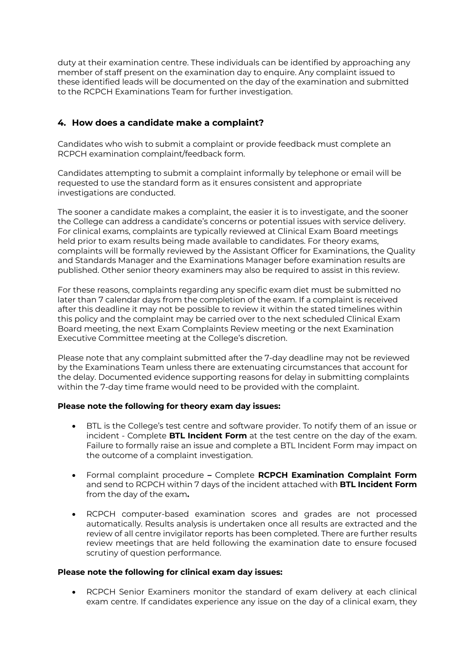duty at their examination centre. These individuals can be identified by approaching any member of staff present on the examination day to enquire. Any complaint issued to these identified leads will be documented on the day of the examination and submitted to the RCPCH Examinations Team for further investigation.

## **4. How does a candidate make a complaint?**

Candidates who wish to submit a complaint or provide feedback must complete an RCPCH examination complaint/feedback form.

Candidates attempting to submit a complaint informally by telephone or email will be requested to use the standard form as it ensures consistent and appropriate investigations are conducted.

The sooner a candidate makes a complaint, the easier it is to investigate, and the sooner the College can address a candidate's concerns or potential issues with service delivery. For clinical exams, complaints are typically reviewed at Clinical Exam Board meetings held prior to exam results being made available to candidates. For theory exams, complaints will be formally reviewed by the Assistant Officer for Examinations, the Quality and Standards Manager and the Examinations Manager before examination results are published. Other senior theory examiners may also be required to assist in this review.

For these reasons, complaints regarding any specific exam diet must be submitted no later than 7 calendar days from the completion of the exam. If a complaint is received after this deadline it may not be possible to review it within the stated timelines within this policy and the complaint may be carried over to the next scheduled Clinical Exam Board meeting, the next Exam Complaints Review meeting or the next Examination Executive Committee meeting at the College's discretion.

Please note that any complaint submitted after the 7-day deadline may not be reviewed by the Examinations Team unless there are extenuating circumstances that account for the delay. Documented evidence supporting reasons for delay in submitting complaints within the 7-day time frame would need to be provided with the complaint.

#### **Please note the following for theory exam day issues:**

- BTL is the College's test centre and software provider. To notify them of an issue or incident - Complete **BTL Incident Form** at the test centre on the day of the exam. Failure to formally raise an issue and complete a BTL Incident Form may impact on the outcome of a complaint investigation.
- Formal complaint procedure **–** Complete **RCPCH Examination Complaint Form** and send to RCPCH within 7 days of the incident attached with **BTL Incident Form** from the day of the exam**.**
- RCPCH computer-based examination scores and grades are not processed automatically. Results analysis is undertaken once all results are extracted and the review of all centre invigilator reports has been completed. There are further results review meetings that are held following the examination date to ensure focused scrutiny of question performance.

#### **Please note the following for clinical exam day issues:**

• RCPCH Senior Examiners monitor the standard of exam delivery at each clinical exam centre. If candidates experience any issue on the day of a clinical exam, they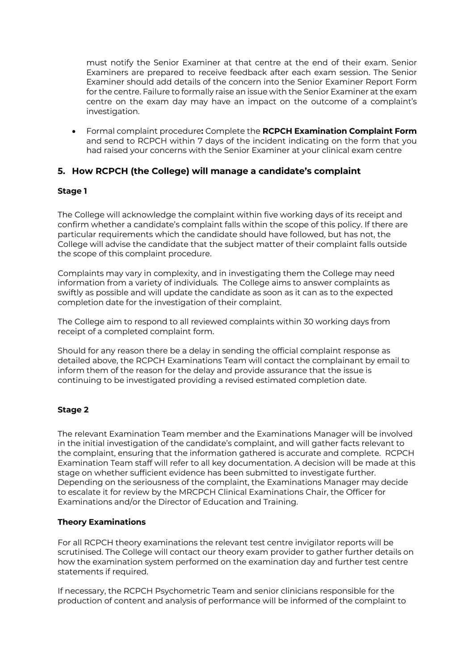must notify the Senior Examiner at that centre at the end of their exam. Senior Examiners are prepared to receive feedback after each exam session. The Senior Examiner should add details of the concern into the Senior Examiner Report Form for the centre. Failure to formally raise an issue with the Senior Examiner at the exam centre on the exam day may have an impact on the outcome of a complaint's investigation.

• Formal complaint procedure**:** Complete the **RCPCH Examination Complaint Form** and send to RCPCH within 7 days of the incident indicating on the form that you had raised your concerns with the Senior Examiner at your clinical exam centre

## **5. How RCPCH (the College) will manage a candidate's complaint**

## **Stage 1**

The College will acknowledge the complaint within five working days of its receipt and confirm whether a candidate's complaint falls within the scope of this policy. If there are particular requirements which the candidate should have followed, but has not, the College will advise the candidate that the subject matter of their complaint falls outside the scope of this complaint procedure.

Complaints may vary in complexity, and in investigating them the College may need information from a variety of individuals. The College aims to answer complaints as swiftly as possible and will update the candidate as soon as it can as to the expected completion date for the investigation of their complaint.

The College aim to respond to all reviewed complaints within 30 working days from receipt of a completed complaint form.

Should for any reason there be a delay in sending the official complaint response as detailed above, the RCPCH Examinations Team will contact the complainant by email to inform them of the reason for the delay and provide assurance that the issue is continuing to be investigated providing a revised estimated completion date.

#### **Stage 2**

The relevant Examination Team member and the Examinations Manager will be involved in the initial investigation of the candidate's complaint, and will gather facts relevant to the complaint, ensuring that the information gathered is accurate and complete. RCPCH Examination Team staff will refer to all key documentation. A decision will be made at this stage on whether sufficient evidence has been submitted to investigate further. Depending on the seriousness of the complaint, the Examinations Manager may decide to escalate it for review by the MRCPCH Clinical Examinations Chair, the Officer for Examinations and/or the Director of Education and Training.

#### **Theory Examinations**

For all RCPCH theory examinations the relevant test centre invigilator reports will be scrutinised. The College will contact our theory exam provider to gather further details on how the examination system performed on the examination day and further test centre statements if required.

If necessary, the RCPCH Psychometric Team and senior clinicians responsible for the production of content and analysis of performance will be informed of the complaint to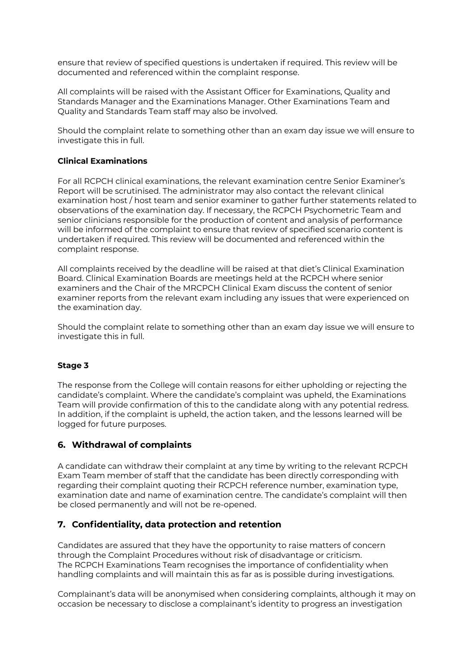ensure that review of specified questions is undertaken if required. This review will be documented and referenced within the complaint response.

All complaints will be raised with the Assistant Officer for Examinations, Quality and Standards Manager and the Examinations Manager. Other Examinations Team and Quality and Standards Team staff may also be involved.

Should the complaint relate to something other than an exam day issue we will ensure to investigate this in full.

## **Clinical Examinations**

For all RCPCH clinical examinations, the relevant examination centre Senior Examiner's Report will be scrutinised. The administrator may also contact the relevant clinical examination host / host team and senior examiner to gather further statements related to observations of the examination day. If necessary, the RCPCH Psychometric Team and senior clinicians responsible for the production of content and analysis of performance will be informed of the complaint to ensure that review of specified scenario content is undertaken if required. This review will be documented and referenced within the complaint response.

All complaints received by the deadline will be raised at that diet's Clinical Examination Board. Clinical Examination Boards are meetings held at the RCPCH where senior examiners and the Chair of the MRCPCH Clinical Exam discuss the content of senior examiner reports from the relevant exam including any issues that were experienced on the examination day.

Should the complaint relate to something other than an exam day issue we will ensure to investigate this in full.

## **Stage 3**

The response from the College will contain reasons for either upholding or rejecting the candidate's complaint. Where the candidate's complaint was upheld, the Examinations Team will provide confirmation of this to the candidate along with any potential redress. In addition, if the complaint is upheld, the action taken, and the lessons learned will be logged for future purposes.

## **6. Withdrawal of complaints**

A candidate can withdraw their complaint at any time by writing to the relevant RCPCH Exam Team member of staff that the candidate has been directly corresponding with regarding their complaint quoting their RCPCH reference number, examination type, examination date and name of examination centre. The candidate's complaint will then be closed permanently and will not be re-opened.

## **7. Confidentiality, data protection and retention**

Candidates are assured that they have the opportunity to raise matters of concern through the Complaint Procedures without risk of disadvantage or criticism. The RCPCH Examinations Team recognises the importance of confidentiality when handling complaints and will maintain this as far as is possible during investigations.

Complainant's data will be anonymised when considering complaints, although it may on occasion be necessary to disclose a complainant's identity to progress an investigation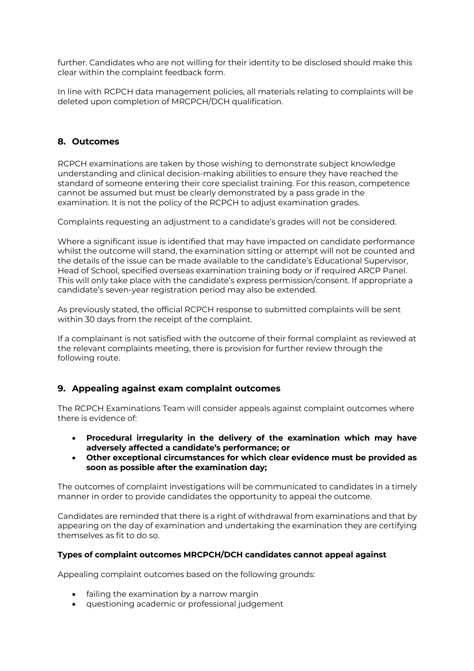further. Candidates who are not willing for their identity to be disclosed should make this clear within the complaint feedback form.

In line with RCPCH data management policies, all materials relating to complaints will be deleted upon completion of MRCPCH/DCH qualification.

## **8. Outcomes**

RCPCH examinations are taken by those wishing to demonstrate subject knowledge understanding and clinical decision-making abilities to ensure they have reached the standard of someone entering their core specialist training. For this reason, competence cannot be assumed but must be clearly demonstrated by a pass grade in the examination. It is not the policy of the RCPCH to adjust examination grades.

Complaints requesting an adjustment to a candidate's grades will not be considered.

Where a significant issue is identified that may have impacted on candidate performance whilst the outcome will stand, the examination sitting or attempt will not be counted and the details of the issue can be made available to the candidate's Educational Supervisor, Head of School, specified overseas examination training body or if required ARCP Panel. This will only take place with the candidate's express permission/consent. If appropriate a candidate's seven-year registration period may also be extended.

As previously stated, the official RCPCH response to submitted complaints will be sent within 30 days from the receipt of the complaint.

If a complainant is not satisfied with the outcome of their formal complaint as reviewed at the relevant complaints meeting, there is provision for further review through the following route.

## **9. Appealing against exam complaint outcomes**

The RCPCH Examinations Team will consider appeals against complaint outcomes where there is evidence of:

- **Procedural irregularity in the delivery of the examination which may have adversely affected a candidate's performance; or**
- **Other exceptional circumstances for which clear evidence must be provided as soon as possible after the examination day;**

The outcomes of complaint investigations will be communicated to candidates in a timely manner in order to provide candidates the opportunity to appeal the outcome.

Candidates are reminded that there is a right of withdrawal from examinations and that by appearing on the day of examination and undertaking the examination they are certifying themselves as fit to do so.

#### **Types of complaint outcomes MRCPCH/DCH candidates cannot appeal against**

Appealing complaint outcomes based on the following grounds:

- failing the examination by a narrow margin
- questioning academic or professional judgement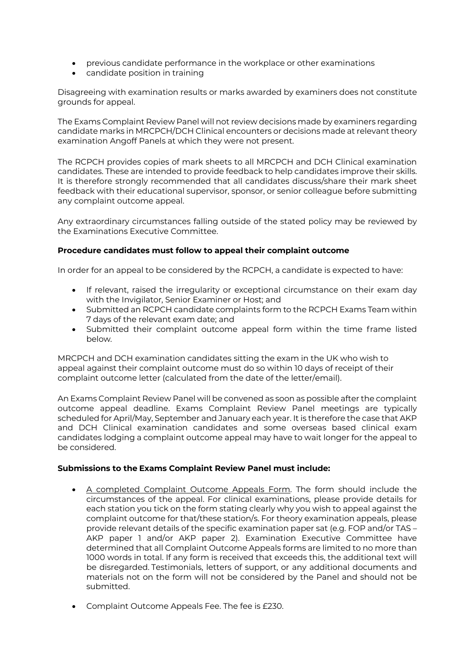- previous candidate performance in the workplace or other examinations
- candidate position in training

Disagreeing with examination results or marks awarded by examiners does not constitute grounds for appeal.

The Exams Complaint Review Panel will not review decisions made by examiners regarding candidate marks in MRCPCH/DCH Clinical encounters or decisions made at relevant theory examination Angoff Panels at which they were not present.

The RCPCH provides copies of mark sheets to all MRCPCH and DCH Clinical examination candidates. These are intended to provide feedback to help candidates improve their skills. It is therefore strongly recommended that all candidates discuss/share their mark sheet feedback with their educational supervisor, sponsor, or senior colleague before submitting any complaint outcome appeal.

Any extraordinary circumstances falling outside of the stated policy may be reviewed by the Examinations Executive Committee.

## **Procedure candidates must follow to appeal their complaint outcome**

In order for an appeal to be considered by the RCPCH, a candidate is expected to have:

- If relevant, raised the irregularity or exceptional circumstance on their exam day with the Invigilator, Senior Examiner or Host; and
- Submitted an RCPCH candidate complaints form to the RCPCH Exams Team within 7 days of the relevant exam date; and
- Submitted their complaint outcome appeal form within the time frame listed below.

MRCPCH and DCH examination candidates sitting the exam in the UK who wish to appeal against their complaint outcome must do so within 10 days of receipt of their complaint outcome letter (calculated from the date of the letter/email).

An Exams Complaint Review Panel will be convened as soon as possible after the complaint outcome appeal deadline. Exams Complaint Review Panel meetings are typically scheduled for April/May, September and January each year. It is therefore the case that AKP and DCH Clinical examination candidates and some overseas based clinical exam candidates lodging a complaint outcome appeal may have to wait longer for the appeal to be considered.

#### **Submissions to the Exams Complaint Review Panel must include:**

- A completed Complaint Outcome Appeals Form. The form should include the circumstances of the appeal. For clinical examinations, please provide details for each station you tick on the form stating clearly why you wish to appeal against the complaint outcome for that/these station/s. For theory examination appeals, please provide relevant details of the specific examination paper sat (e.g. FOP and/or TAS – AKP paper 1 and/or AKP paper 2). Examination Executive Committee have determined that all Complaint Outcome Appeals forms are limited to no more than 1000 words in total. If any form is received that exceeds this, the additional text will be disregarded. Testimonials, letters of support, or any additional documents and materials not on the form will not be considered by the Panel and should not be submitted.
- Complaint Outcome Appeals Fee. The fee is £230.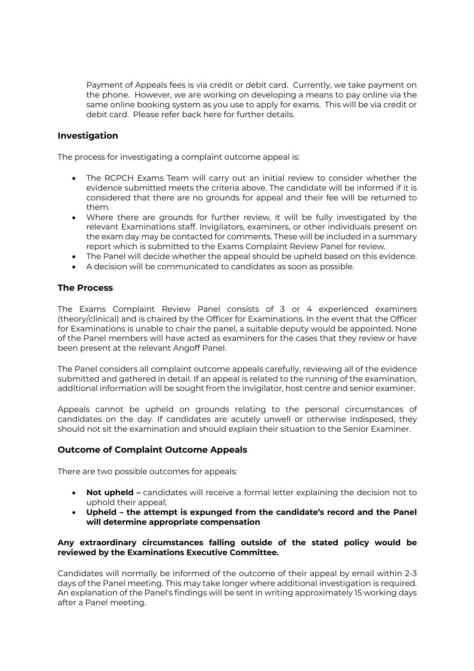Payment of Appeals fees is via credit or debit card. Currently, we take payment on the phone. However, we are working on developing a means to pay online via the same online booking system as you use to apply for exams. This will be via credit or debit card. Please refer back here for further details.

## **Investigation**

The process for investigating a complaint outcome appeal is:

- The RCPCH Exams Team will carry out an initial review to consider whether the evidence submitted meets the criteria above. The candidate will be informed if it is considered that there are no grounds for appeal and their fee will be returned to them.
- Where there are grounds for further review, it will be fully investigated by the relevant Examinations staff. Invigilators, examiners, or other individuals present on the exam day may be contacted for comments. These will be included in a summary report which is submitted to the Exams Complaint Review Panel for review.
- The Panel will decide whether the appeal should be upheld based on this evidence.
- A decision will be communicated to candidates as soon as possible.

## **The Process**

The Exams Complaint Review Panel consists of 3 or 4 experienced examiners (theory/clinical) and is chaired by the Officer for Examinations. In the event that the Officer for Examinations is unable to chair the panel, a suitable deputy would be appointed. None of the Panel members will have acted as examiners for the cases that they review or have been present at the relevant Angoff Panel.

The Panel considers all complaint outcome appeals carefully, reviewing all of the evidence submitted and gathered in detail. If an appeal is related to the running of the examination, additional information will be sought from the invigilator, host centre and senior examiner.

Appeals cannot be upheld on grounds relating to the personal circumstances of candidates on the day. If candidates are acutely unwell or otherwise indisposed, they should not sit the examination and should explain their situation to the Senior Examiner.

## **Outcome of Complaint Outcome Appeals**

There are two possible outcomes for appeals:

- **Not upheld –** candidates will receive a formal letter explaining the decision not to uphold their appeal;
- **Upheld – the attempt is expunged from the candidate's record and the Panel will determine appropriate compensation**

## **Any extraordinary circumstances falling outside of the stated policy would be reviewed by the Examinations Executive Committee.**

Candidates will normally be informed of the outcome of their appeal by email within 2-3 days of the Panel meeting. This may take longer where additional investigation is required. An explanation of the Panel's findings will be sent in writing approximately 15 working days after a Panel meeting.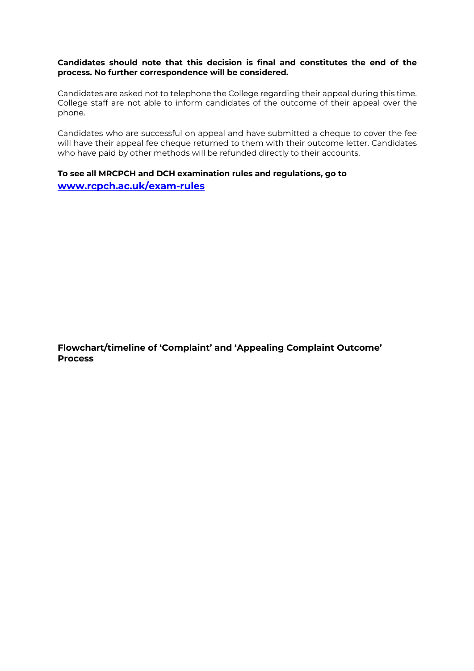#### **Candidates should note that this decision is final and constitutes the end of the process. No further correspondence will be considered.**

Candidates are asked not to telephone the College regarding their appeal during this time. College staff are not able to inform candidates of the outcome of their appeal over the phone.

Candidates who are successful on appeal and have submitted a cheque to cover the fee will have their appeal fee cheque returned to them with their outcome letter. Candidates who have paid by other methods will be refunded directly to their accounts.

## **To see all MRCPCH and DCH examination rules and regulations, go to www.rcpch.ac.uk/exam-rules**

**Flowchart/timeline of 'Complaint' and 'Appealing Complaint Outcome' Process**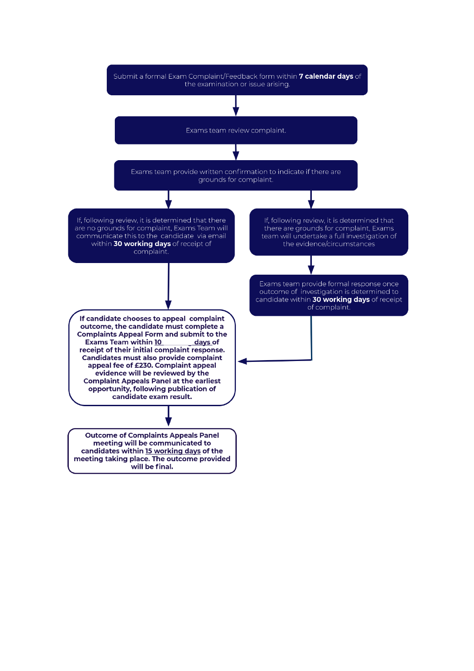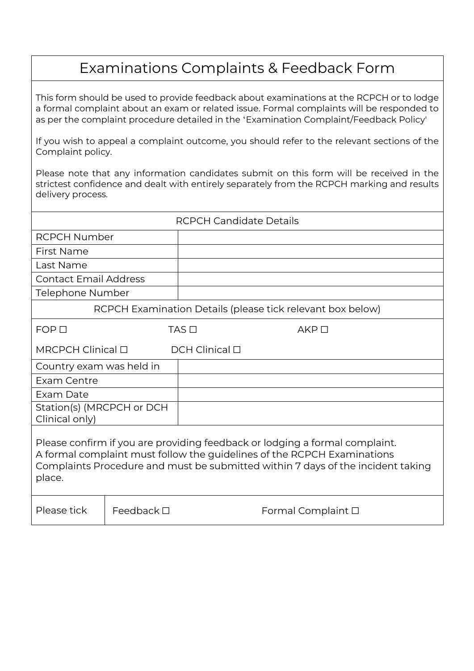# Examinations Complaints & Feedback Form

This form should be used to provide feedback about examinations at the RCPCH or to lodge a formal complaint about an exam or related issue. Formal complaints will be responded to as per the complaint procedure detailed in the 'Examination Complaint/Feedback Policy'

If you wish to appeal a complaint outcome, you should refer to the relevant sections of the Complaint policy.

Please note that any information candidates submit on this form will be received in the strictest confidence and dealt with entirely separately from the RCPCH marking and results delivery process.

| <b>RCPCH Candidate Details</b>                                                                                                                                                                                                                      |                    |              |                            |
|-----------------------------------------------------------------------------------------------------------------------------------------------------------------------------------------------------------------------------------------------------|--------------------|--------------|----------------------------|
| <b>RCPCH Number</b>                                                                                                                                                                                                                                 |                    |              |                            |
| First Name                                                                                                                                                                                                                                          |                    |              |                            |
| Last Name                                                                                                                                                                                                                                           |                    |              |                            |
| <b>Contact Email Address</b>                                                                                                                                                                                                                        |                    |              |                            |
| Telephone Number                                                                                                                                                                                                                                    |                    |              |                            |
| RCPCH Examination Details (please tick relevant box below)                                                                                                                                                                                          |                    |              |                            |
| $FOP$ $\Box$                                                                                                                                                                                                                                        |                    | $TAS$ $\Box$ | $AKP$ $\Box$               |
| $MRCPCH$ Clinical $\Box$<br>$DCH$ Clinical $\Box$                                                                                                                                                                                                   |                    |              |                            |
| Country exam was held in                                                                                                                                                                                                                            |                    |              |                            |
| Exam Centre                                                                                                                                                                                                                                         |                    |              |                            |
| Exam Date                                                                                                                                                                                                                                           |                    |              |                            |
| Station(s) (MRCPCH or DCH<br>Clinical only)                                                                                                                                                                                                         |                    |              |                            |
| Please confirm if you are providing feedback or lodging a formal complaint.<br>A formal complaint must follow the guidelines of the RCPCH Examinations<br>Complaints Procedure and must be submitted within 7 days of the incident taking<br>place. |                    |              |                            |
| Please tick                                                                                                                                                                                                                                         | Feedback $\square$ |              | Formal Complaint $\square$ |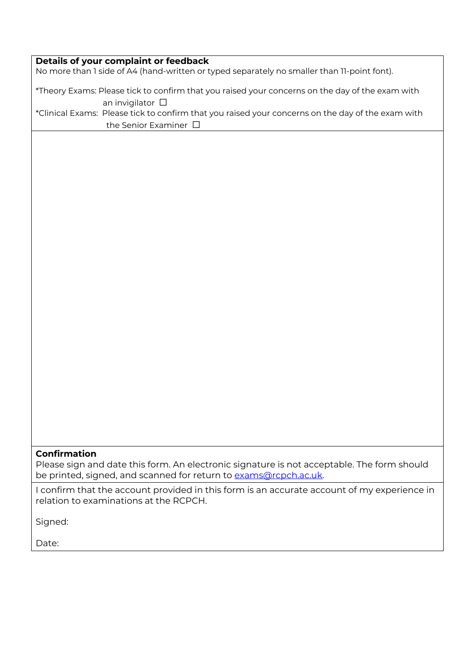## **Details of your complaint or feedback**

No more than 1 side of A4 (hand-written or typed separately no smaller than 11-point font).

\*Theory Exams: Please tick to confirm that you raised your concerns on the day of the exam with an invigilator □ \*Clinical Exams: Please tick to confirm that you raised your concerns on the day of the exam with

the Senior Examiner □

## **Confirmation**

Please sign and date this form. An electronic signature is not acceptable. The form should be printed, signed, and scanned for return to exams@rcpch.ac.uk.

I confirm that the account provided in this form is an accurate account of my experience in relation to examinations at the RCPCH.

Signed:

Date: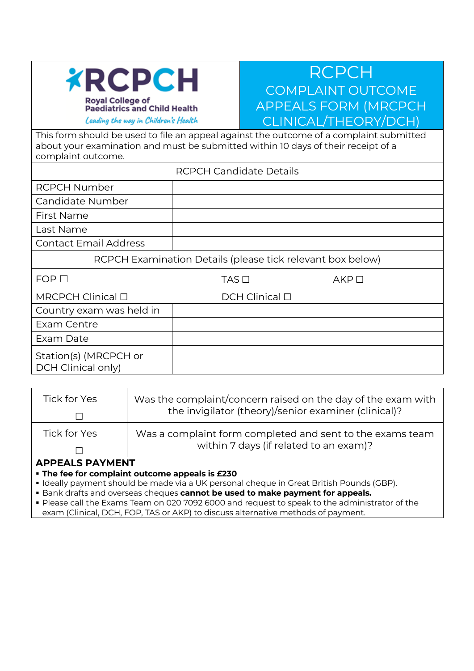

## RCPCH COMPLAINT OUTCOME APPEALS FORM (MRCPCH CLINICAL/THEORY/DCH)

This form should be used to file an appeal against the outcome of a complaint submitted about your examination and must be submitted within 10 days of their receipt of a complaint outcome.

|                                             | <b>RCPCH Candidate Details</b>                             |              |
|---------------------------------------------|------------------------------------------------------------|--------------|
| <b>RCPCH Number</b>                         |                                                            |              |
| Candidate Number                            |                                                            |              |
| First Name                                  |                                                            |              |
| Last Name                                   |                                                            |              |
| <b>Contact Email Address</b>                |                                                            |              |
|                                             | RCPCH Examination Details (please tick relevant box below) |              |
| $FOP$ $\Box$                                | $TAS$ $\Box$                                               | $AKP$ $\Box$ |
| $MRCPCH$ Clinical $\Box$                    | $DCH$ Clinical $\Box$                                      |              |
| Country exam was held in                    |                                                            |              |
| Exam Centre                                 |                                                            |              |
| Exam Date                                   |                                                            |              |
| Station(s) (MRCPCH or<br>DCH Clinical only) |                                                            |              |

| Tick for Yes                                                              | Was the complaint/concern raised on the day of the exam with<br>the invigilator (theory)/senior examiner (clinical)? |  |
|---------------------------------------------------------------------------|----------------------------------------------------------------------------------------------------------------------|--|
| Tick for Yes                                                              | Was a complaint form completed and sent to the exams team<br>within 7 days (if related to an exam)?                  |  |
| <b>APPEALS PAYMENT</b><br>• The fee for complaint outcome appeals is £230 |                                                                                                                      |  |

§ Ideally payment should be made via a UK personal cheque in Great British Pounds (GBP).

**■ Bank drafts and overseas cheques cannot be used to make payment for appeals.** 

§ Please call the Exams Team on 020 7092 6000 and request to speak to the administrator of the exam (Clinical, DCH, FOP, TAS or AKP) to discuss alternative methods of payment.